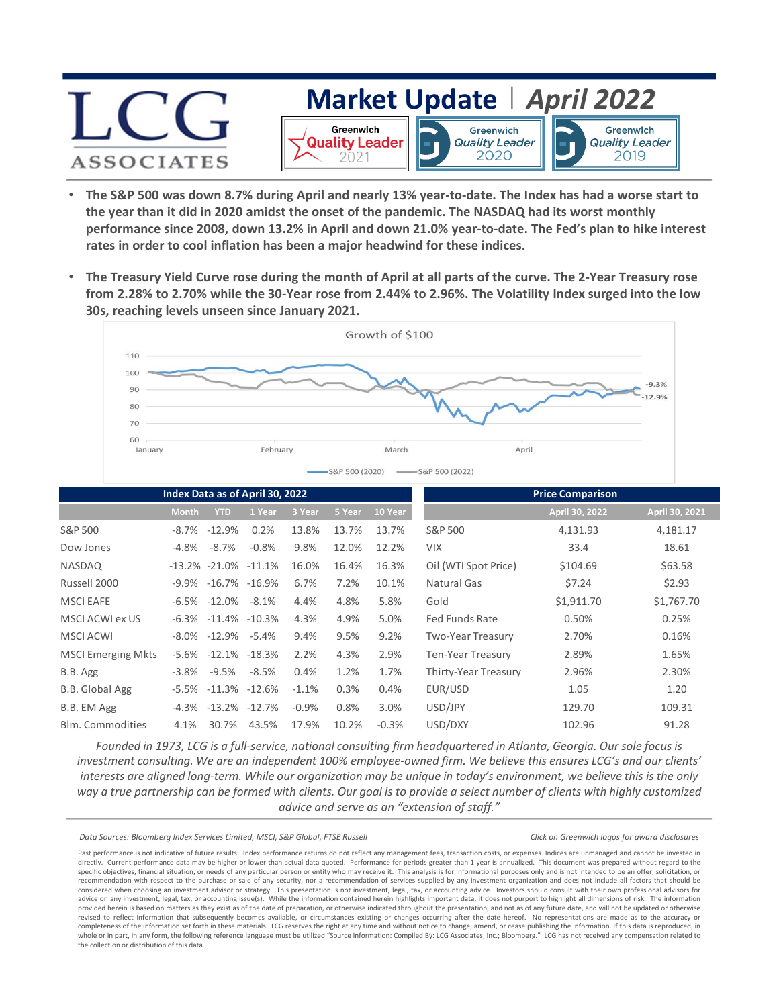## **[Market Update](https://www.lcgassociates.com/wp-content/uploads/2022/04/Disclosures_Updated-with-2021.pdf)** *| April 2022* Greenwich Greenwich Greenwich **Quality Leader Quality Leader Quality Leader** 2020 2021 2019 **ASSOCIATES**

- **The S&P 500 was down 8.7% during April and nearly 13% year‐to‐date. The Index has had a worse start to the year than it did in 2020 amidst the onset of the pandemic. The NASDAQ had its worst monthly performance since 2008, down 13.2% in April and down 21.0% year‐to‐date. The Fed's plan to hike interest rates in order to cool inflation has been a major headwind for these indices.**
- **The Treasury Yield Curve rose during the month of April at all parts of the curve. The 2‐Year Treasury rose from 2.28% to 2.70% while the 30‐Year rose from 2.44% to 2.96%. The Volatility Index surged into the low 30s, reaching levels unseen since January 2021.**



| Index Data as of April 30, 2022 |              |                           |                   |         |        |         | <b>Price Comparison</b> |                |                |
|---------------------------------|--------------|---------------------------|-------------------|---------|--------|---------|-------------------------|----------------|----------------|
|                                 | <b>Month</b> | <b>YTD</b>                | 1 Year            | 3 Year  | 5 Year | 10 Year |                         | April 30, 2022 | April 30, 2021 |
| S&P 500                         | -8.7%        | $-12.9%$                  | 0.2%              | 13.8%   | 13.7%  | 13.7%   | S&P 500                 | 4,131.93       | 4,181.17       |
| Dow Jones                       | $-4.8\%$     | $-8.7\%$                  | $-0.8%$           | 9.8%    | 12.0%  | 12.2%   | <b>VIX</b>              | 33.4           | 18.61          |
| <b>NASDAQ</b>                   |              | $-13.2\% -21.0\% -11.1\%$ |                   | 16.0%   | 16.4%  | 16.3%   | Oil (WTI Spot Price)    | \$104.69       | \$63.58        |
| Russell 2000                    |              | $-9.9\% -16.7\% -16.9\%$  |                   | 6.7%    | 7.2%   | 10.1%   | Natural Gas             | \$7.24         | \$2.93         |
| <b>MSCI EAFE</b>                |              | $-6.5\% -12.0\%$          | $-8.1\%$          | 4.4%    | 4.8%   | 5.8%    | Gold                    | \$1,911.70     | \$1,767.70     |
| MSCI ACWI ex US                 |              | $-6.3\% -11.4\% -10.3\%$  |                   | 4.3%    | 4.9%   | 5.0%    | Fed Funds Rate          | 0.50%          | 0.25%          |
| <b>MSCI ACWI</b>                |              | $-8.0\% -12.9\% -5.4\%$   |                   | 9.4%    | 9.5%   | 9.2%    | Two-Year Treasury       | 2.70%          | 0.16%          |
| <b>MSCI Emerging Mkts</b>       | -5.6%        | $-12.1\% -18.3\%$         |                   | 2.2%    | 4.3%   | 2.9%    | Ten-Year Treasury       | 2.89%          | 1.65%          |
| B.B. Agg                        | $-3.8\%$     | -9.5%                     | -8.5%             | 0.4%    | 1.2%   | 1.7%    | Thirty-Year Treasury    | 2.96%          | 2.30%          |
| B.B. Global Agg                 | -5.5%        |                           | $-11.3\% -12.6\%$ | $-1.1%$ | 0.3%   | 0.4%    | EUR/USD                 | 1.05           | 1.20           |
| B.B. EM Agg                     | -4.3%        | $-13.2\% -12.7\%$         |                   | $-0.9%$ | 0.8%   | 3.0%    | USD/JPY                 | 129.70         | 109.31         |
| <b>Blm.</b> Commodities         | 4.1%         | 30.7%                     | 43.5%             | 17.9%   | 10.2%  | $-0.3%$ | USD/DXY                 | 102.96         | 91.28          |

*Founded in 1973, LCG is a full‐service, national consulting firm headquartered in Atlanta, Georgia. Our sole focus is investment consulting. We are an independent 100% employee‐owned firm. We believe this ensures LCG's and our clients' interests are aligned long‐term. While our organization may be unique in today's environment, we believe this is the only way a true partnership can be formed with clients. Our goal is to provide a select number of clients with highly customized advice and serve as an "extension of staff."*

*Click on Greenwich logos for award disclosures*

*Data Sources: Bloomberg Index Services Limited, MSCI, S&P Global, FTSE Russell*

Past performance is not indicative of future results. Index performance returns do not reflect any management fees, transaction costs, or expenses. Indices are unmanaged and cannot be invested in directly. Current performance data may be higher or lower than actual data quoted. Performance for periods greater than 1 year is annualized. This document was prepared without regard to the specific objectives, financial situation, or needs of any particular person or entity who may receive it. This analysis is for informational purposes only and is not intended to be an offer, solicitation, or recommendation with respect to the purchase or sale of any security, nor a recommendation of services supplied by any investment organization and does not include all factors that should be considered when choosing an investment advisor or strategy. This presentation is not investment, legal, tax, or accounting advice. Investors should consult with their own professional advisors for advice on any investment, legal, tax, or accounting issue(s). While the information contained herein highlights important data, it does not purport to highlight all dimensions of risk. The information provided herein is based on matters as they exist as of the date of preparation, or otherwise indicated throughout the presentation, and not as of any future date, and will not be updated or otherwise revised to reflect information that subsequently becomes available, or circumstances existing or changes occurring after the date hereof. No representations are made as to the accuracy or completeness of the information set forth in these materials. LCG reserves the right at any time and without notice to change, amend, or cease publishing the information. If this data is reproduced, in whole or in part, in any form, the following reference language must be utilized "Source Information: Compiled By: LCG Associates, Inc.; Bloomberg." LCG has not received any compensation related to the collection or distribution of this data.